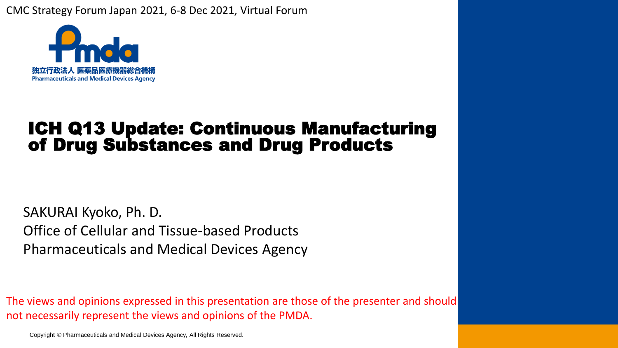CMC Strategy Forum Japan 2021, 6-8 Dec 2021, Virtual Forum



## ICH Q13 Update: Continuous Manufacturing of Drug Substances and Drug Products

SAKURAI Kyoko, Ph. D. Office of Cellular and Tissue-based Products Pharmaceuticals and Medical Devices Agency

The views and opinions expressed in this presentation are those of the presenter and should not necessarily represent the views and opinions of the PMDA.

Copyright © Pharmaceuticals and Medical Devices Agency, All Rights Reserved.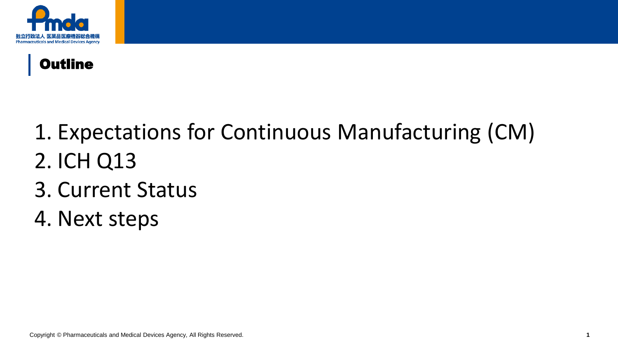



# 1. Expectations for Continuous Manufacturing (CM) 2. ICH Q13

- 3. Current Status
- 4. Next steps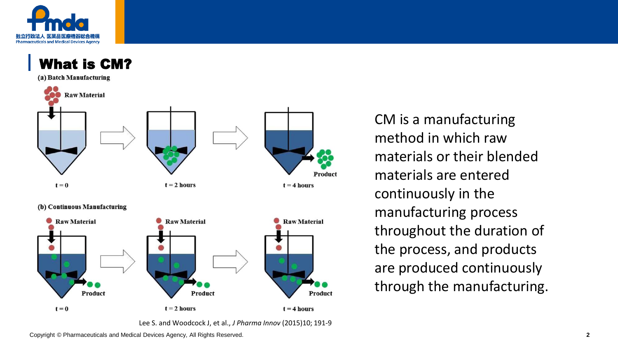



materials or their blended materials are entered continuously in the manufacturing process throughout the duration of the process, and products are produced continuously through the manufacturing.

CM is a manufacturing

method in which raw

Copyright © Pharmaceuticals and Medical Devices Agency, All Rights Reserved. **2**

Lee S. and Woodcock J, et al., *J Pharma Innov* (2015)10; 191-9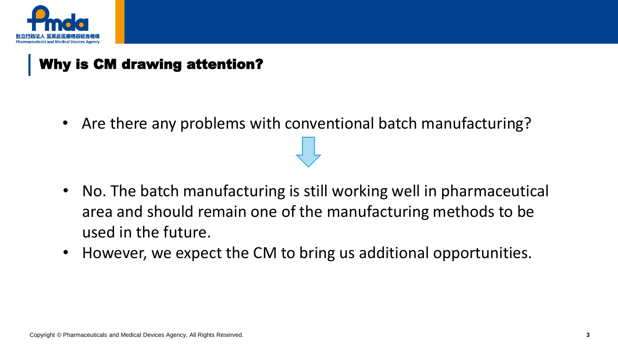

## Why is CM drawing attention?

• Are there any problems with conventional batch manufacturing?

- No. The batch manufacturing is still working well in pharmaceutical area and should remain one of the manufacturing methods to be used in the future.
- However, we expect the CM to bring us additional opportunities.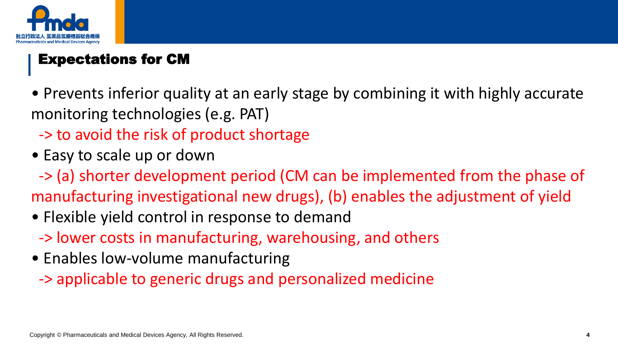

## Expectations for CM

- Prevents inferior quality at an early stage by combining it with highly accurate monitoring technologies (e.g. PAT)
	- -> to avoid the risk of product shortage
- Easy to scale up or down
- -> (a) shorter development period (CM can be implemented from the phase of manufacturing investigational new drugs), (b) enables the adjustment of yield
- Flexible yield control in response to demand
	- -> lower costs in manufacturing, warehousing, and others
- Enables low-volume manufacturing
	- -> applicable to generic drugs and personalized medicine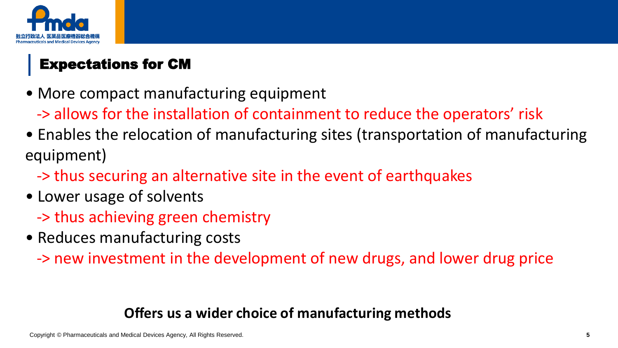

# Expectations for CM

- More compact manufacturing equipment
	- -> allows for the installation of containment to reduce the operators' risk
- Enables the relocation of manufacturing sites (transportation of manufacturing equipment)
	- -> thus securing an alternative site in the event of earthquakes
- Lower usage of solvents
	- -> thus achieving green chemistry
- Reduces manufacturing costs
	- -> new investment in the development of new drugs, and lower drug price

#### **Offers us a wider choice of manufacturing methods**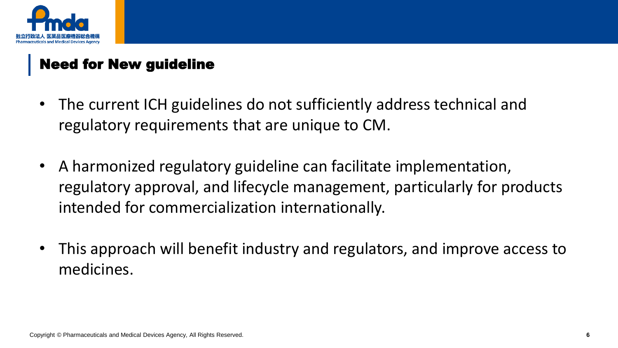

## Need for New guideline

- The current ICH guidelines do not sufficiently address technical and regulatory requirements that are unique to CM.
- A harmonized regulatory guideline can facilitate implementation, regulatory approval, and lifecycle management, particularly for products intended for commercialization internationally.
- This approach will benefit industry and regulators, and improve access to medicines.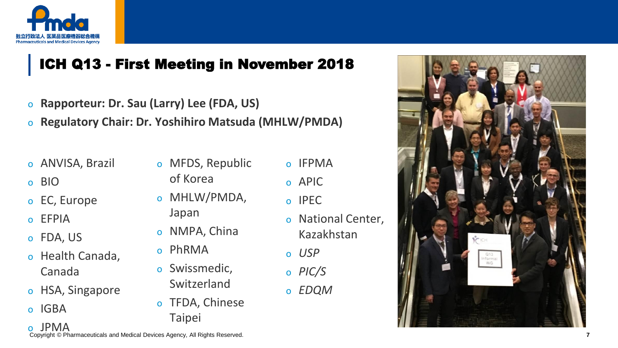

## ICH Q13 - First Meeting in November 2018

- o **Rapporteur: Dr. Sau (Larry) Lee (FDA, US)**
- o **Regulatory Chair: Dr. Yoshihiro Matsuda (MHLW/PMDA)**
- o ANVISA, Brazil
- o BIO
- o EC, Europe
- o EFPIA
- o FDA, US
- o Health Canada, Canada
- o HSA, Singapore
- o IGBA
- o MFDS, Republic
	- of Korea
- o MHLW/PMDA, Japan
- o NMPA, China
- o PhRMA
- o Swissmedic, Switzerland
- o TFDA, Chinese Taipei
- o IFPMA
- o APIC
- o IPEC
- o National Center, Kazakhstan
- o *USP*
- o *PIC/S*
- o *EDQM*



© Pharmaceuticals and Medical Devices Agency, All Rights Reserved. o JPMA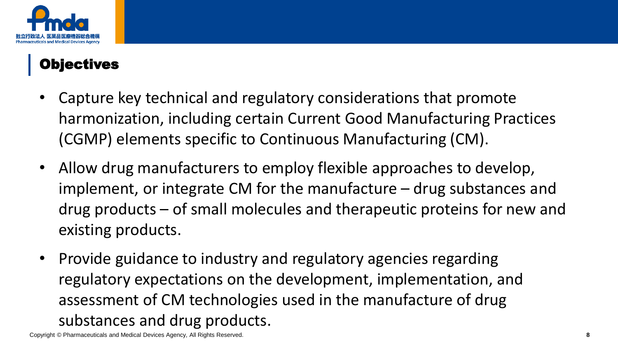

## Objectives

- Capture key technical and regulatory considerations that promote harmonization, including certain Current Good Manufacturing Practices (CGMP) elements specific to Continuous Manufacturing (CM).
- Allow drug manufacturers to employ flexible approaches to develop, implement, or integrate CM for the manufacture – drug substances and drug products – of small molecules and therapeutic proteins for new and existing products.
- Provide guidance to industry and regulatory agencies regarding regulatory expectations on the development, implementation, and assessment of CM technologies used in the manufacture of drug substances and drug products.

Copyright © Pharmaceuticals and Medical Devices Agency, All Rights Reserved. **8**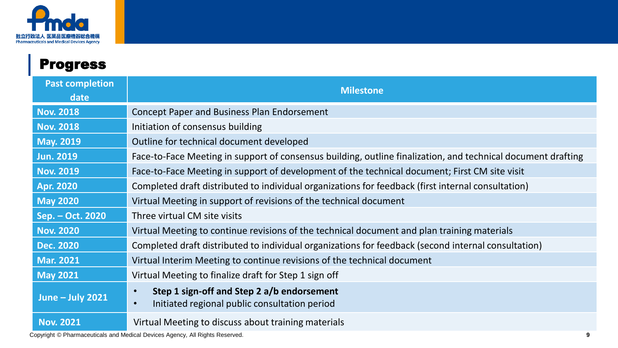

| <b>Progress</b>                |                                                                                                                       |  |
|--------------------------------|-----------------------------------------------------------------------------------------------------------------------|--|
| <b>Past completion</b><br>date | <b>Milestone</b>                                                                                                      |  |
| <b>Nov. 2018</b>               | Concept Paper and Business Plan Endorsement                                                                           |  |
| <b>Nov. 2018</b>               | Initiation of consensus building                                                                                      |  |
| <b>May. 2019</b>               | Outline for technical document developed                                                                              |  |
| <b>Jun. 2019</b>               | Face-to-Face Meeting in support of consensus building, outline finalization, and technical document drafting          |  |
| <b>Nov. 2019</b>               | Face-to-Face Meeting in support of development of the technical document; First CM site visit                         |  |
| <b>Apr. 2020</b>               | Completed draft distributed to individual organizations for feedback (first internal consultation)                    |  |
| <b>May 2020</b>                | Virtual Meeting in support of revisions of the technical document                                                     |  |
| Sep. - Oct. 2020               | Three virtual CM site visits                                                                                          |  |
| <b>Nov. 2020</b>               | Virtual Meeting to continue revisions of the technical document and plan training materials                           |  |
| <b>Dec. 2020</b>               | Completed draft distributed to individual organizations for feedback (second internal consultation)                   |  |
| <b>Mar. 2021</b>               | Virtual Interim Meeting to continue revisions of the technical document                                               |  |
| <b>May 2021</b>                | Virtual Meeting to finalize draft for Step 1 sign off                                                                 |  |
| <b>June - July 2021</b>        | Step 1 sign-off and Step 2 a/b endorsement<br>$\bullet$<br>Initiated regional public consultation period<br>$\bullet$ |  |
| <b>Nov. 2021</b>               | Virtual Meeting to discuss about training materials                                                                   |  |

Copyright © Pharmaceuticals and Medical Devices Agency, All Rights Reserved. **9**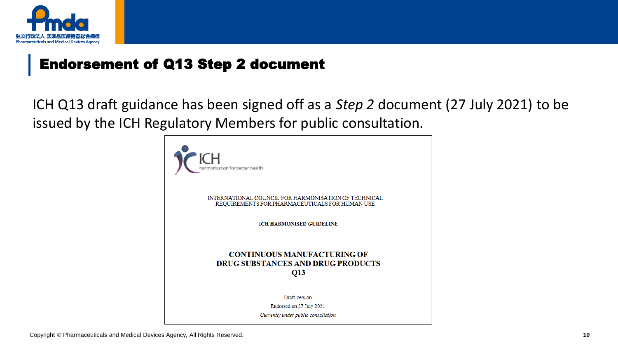

#### Endorsement of Q13 Step 2 document

ICH Q13 draft guidance has been signed off as a *Step 2* document (27 July 2021) to be issued by the ICH Regulatory Members for public consultation.

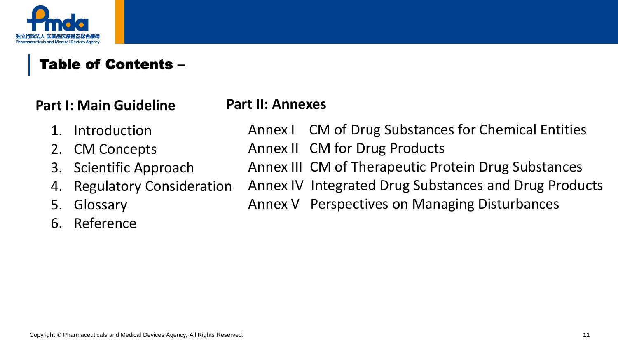

## Table of Contents –

#### **Part I: Main Guideline**

#### **Part II: Annexes**

- 1. Introduction
- 2. CM Concepts
- 3. Scientific Approach
- 4. Regulatory Consideration
- 5. Glossary
- 6. Reference

Annex I CM of Drug Substances for Chemical Entities Annex II CM for Drug Products

- Annex III CM of Therapeutic Protein Drug Substances
- Annex IV Integrated Drug Substances and Drug Products
	- Annex V Perspectives on Managing Disturbances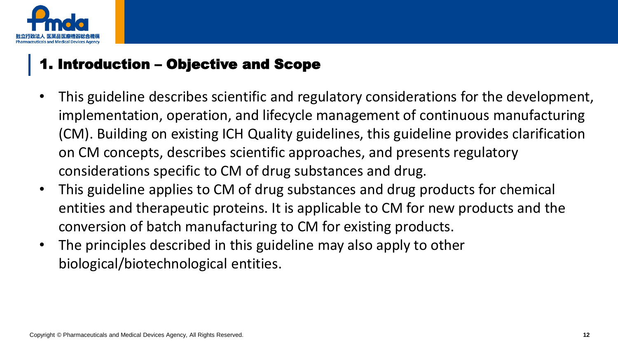

#### 1. Introduction – Objective and Scope

- This guideline describes scientific and regulatory considerations for the development, implementation, operation, and lifecycle management of continuous manufacturing (CM). Building on existing ICH Quality guidelines, this guideline provides clarification on CM concepts, describes scientific approaches, and presents regulatory considerations specific to CM of drug substances and drug.
- This guideline applies to CM of drug substances and drug products for chemical entities and therapeutic proteins. It is applicable to CM for new products and the conversion of batch manufacturing to CM for existing products.
- The principles described in this guideline may also apply to other biological/biotechnological entities.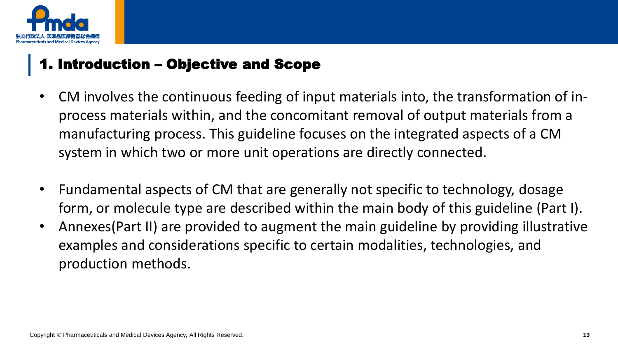

#### 1. Introduction – Objective and Scope

- CM involves the continuous feeding of input materials into, the transformation of inprocess materials within, and the concomitant removal of output materials from a manufacturing process. This guideline focuses on the integrated aspects of a CM system in which two or more unit operations are directly connected.
- Fundamental aspects of CM that are generally not specific to technology, dosage form, or molecule type are described within the main body of this guideline (Part I).
- Annexes(Part II) are provided to augment the main guideline by providing illustrative examples and considerations specific to certain modalities, technologies, and production methods.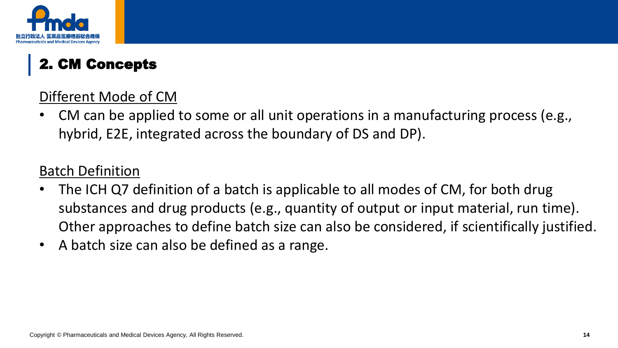

# 2. CM Concepts

## Different Mode of CM

• CM can be applied to some or all unit operations in a manufacturing process (e.g., hybrid, E2E, integrated across the boundary of DS and DP).

## Batch Definition

- The ICH Q7 definition of a batch is applicable to all modes of CM, for both drug substances and drug products (e.g., quantity of output or input material, run time). Other approaches to define batch size can also be considered, if scientifically justified.
- A batch size can also be defined as a range.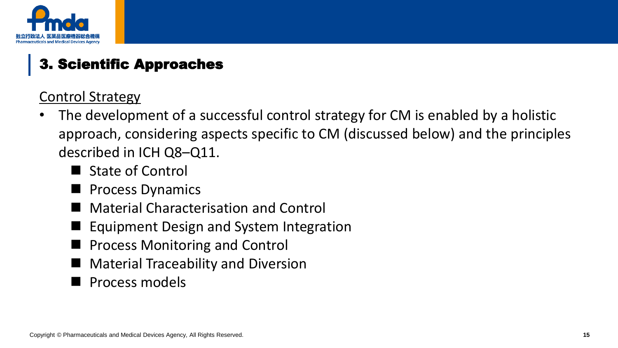

# 3. Scientific Approaches

Control Strategy

- The development of a successful control strategy for CM is enabled by a holistic approach, considering aspects specific to CM (discussed below) and the principles described in ICH Q8–Q11.
	- State of Control
	- ◼ Process Dynamics
	- **Material Characterisation and Control**
	- Equipment Design and System Integration
	- Process Monitoring and Control
	- Material Traceability and Diversion
	- ◼ Process models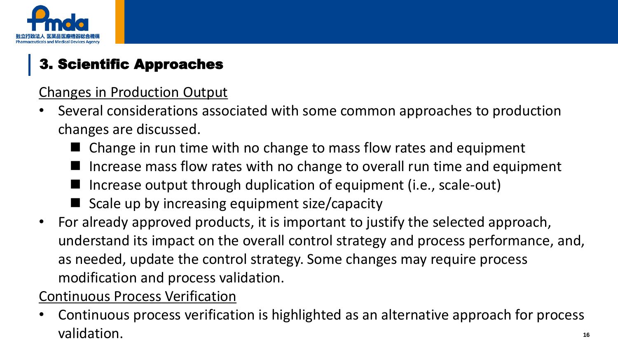

# 3. Scientific Approaches

Changes in Production Output

- Several considerations associated with some common approaches to production changes are discussed.
	- Change in run time with no change to mass flow rates and equipment
	- ◼ Increase mass flow rates with no change to overall run time and equipment
	- Increase output through duplication of equipment (i.e., scale-out)
	- $\blacksquare$  Scale up by increasing equipment size/capacity
- For already approved products, it is important to justify the selected approach, understand its impact on the overall control strategy and process performance, and, as needed, update the control strategy. Some changes may require process modification and process validation.

## Continuous Process Verification

validation. **Extending a Pharmaceutical Devices Agency, All Rights Reserved.** The comparison of the comparison of the comparison of the comparison of the comparison of the comparison of the comparison of the comparison of • Continuous process verification is highlighted as an alternative approach for process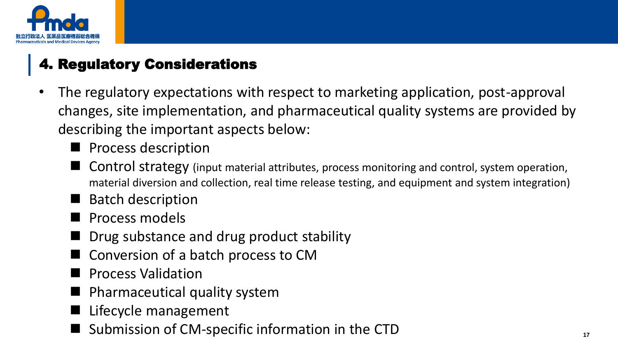

# 4. Regulatory Considerations

- The regulatory expectations with respect to marketing application, post-approval changes, site implementation, and pharmaceutical quality systems are provided by describing the important aspects below:
	- Process description
	- Control strategy (input material attributes, process monitoring and control, system operation, material diversion and collection, real time release testing, and equipment and system integration)
	- Batch description
	- ◼ Process models
	- ◼ Drug substance and drug product stability
	- ◼ Conversion of a batch process to CM
	- ◼ Process Validation
	- ◼ Pharmaceutical quality system
	- Lifecycle management
- Submission of CM-specific information in the CTD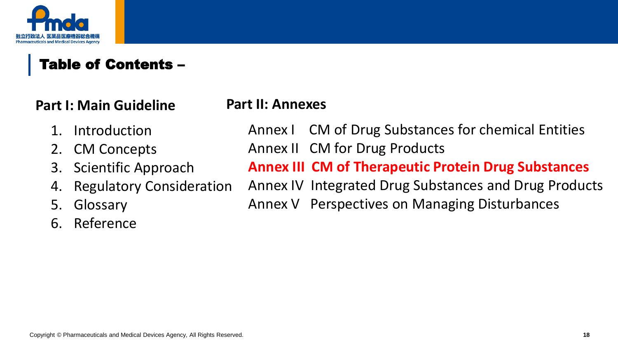

## Table of Contents –

#### **Part I: Main Guideline**

**Part II: Annexes**

- 1. Introduction
- 2. CM Concepts
- 3. Scientific Approach
- 4. Regulatory Consideration
- 5. Glossary
- 6. Reference
- Annex I CM of Drug Substances for chemical Entities Annex II CM for Drug Products
- **Annex III CM of Therapeutic Protein Drug Substances**
- Annex IV Integrated Drug Substances and Drug Products
- Annex V Perspectives on Managing Disturbances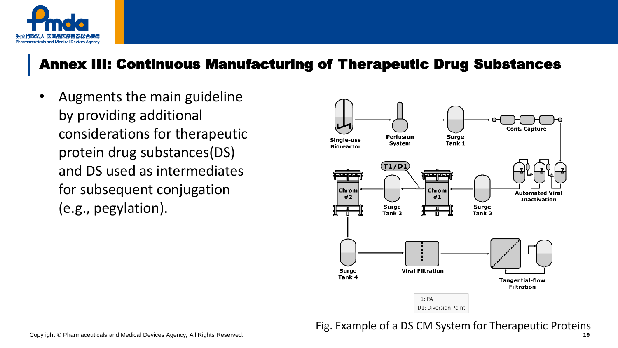

#### Annex III: Continuous Manufacturing of Therapeutic Drug Substances

• Augments the main guideline by providing additional considerations for therapeutic protein drug substances(DS) and DS used as intermediates for subsequent conjugation (e.g., pegylation).



Fig. Example of a DS CM System for Therapeutic Proteins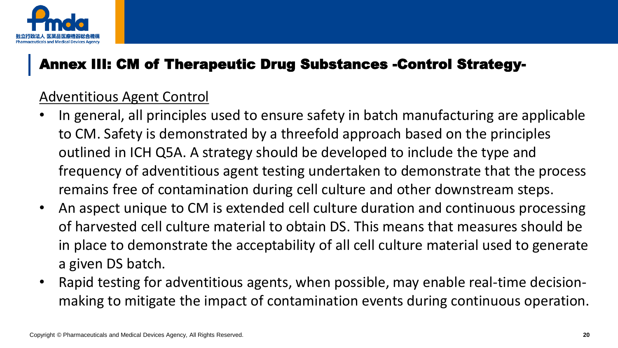

## Annex III: CM of Therapeutic Drug Substances -Control Strategy-

#### Adventitious Agent Control

- In general, all principles used to ensure safety in batch manufacturing are applicable to CM. Safety is demonstrated by a threefold approach based on the principles outlined in ICH Q5A. A strategy should be developed to include the type and frequency of adventitious agent testing undertaken to demonstrate that the process remains free of contamination during cell culture and other downstream steps.
- An aspect unique to CM is extended cell culture duration and continuous processing of harvested cell culture material to obtain DS. This means that measures should be in place to demonstrate the acceptability of all cell culture material used to generate a given DS batch.
- Rapid testing for adventitious agents, when possible, may enable real-time decisionmaking to mitigate the impact of contamination events during continuous operation.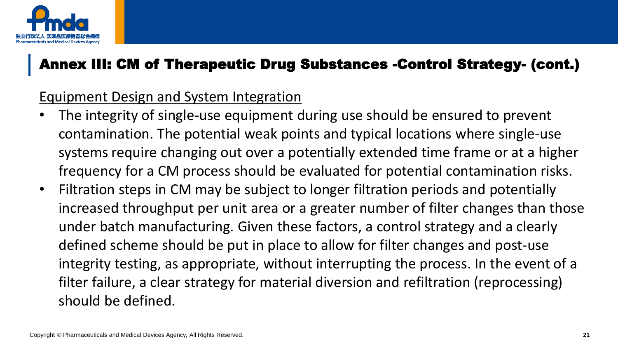

## Annex III: CM of Therapeutic Drug Substances -Control Strategy- (cont.)

#### Equipment Design and System Integration

- The integrity of single-use equipment during use should be ensured to prevent contamination. The potential weak points and typical locations where single-use systems require changing out over a potentially extended time frame or at a higher frequency for a CM process should be evaluated for potential contamination risks.
- Filtration steps in CM may be subject to longer filtration periods and potentially increased throughput per unit area or a greater number of filter changes than those under batch manufacturing. Given these factors, a control strategy and a clearly defined scheme should be put in place to allow for filter changes and post-use integrity testing, as appropriate, without interrupting the process. In the event of a filter failure, a clear strategy for material diversion and refiltration (reprocessing) should be defined.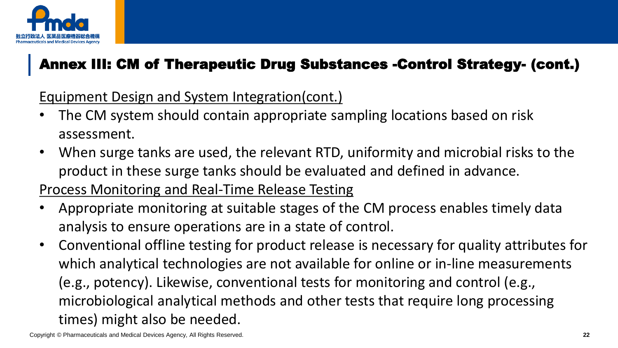

# Annex III: CM of Therapeutic Drug Substances -Control Strategy- (cont.)

Equipment Design and System Integration(cont.)

- The CM system should contain appropriate sampling locations based on risk assessment.
- When surge tanks are used, the relevant RTD, uniformity and microbial risks to the product in these surge tanks should be evaluated and defined in advance.

Process Monitoring and Real-Time Release Testing

- Appropriate monitoring at suitable stages of the CM process enables timely data analysis to ensure operations are in a state of control.
- Conventional offline testing for product release is necessary for quality attributes for which analytical technologies are not available for online or in-line measurements (e.g., potency). Likewise, conventional tests for monitoring and control (e.g., microbiological analytical methods and other tests that require long processing times) might also be needed.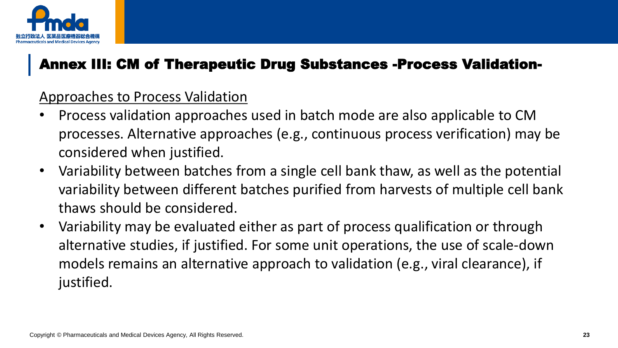

## Annex III: CM of Therapeutic Drug Substances -Process Validation-

#### Approaches to Process Validation

- Process validation approaches used in batch mode are also applicable to CM processes. Alternative approaches (e.g., continuous process verification) may be considered when justified.
- Variability between batches from a single cell bank thaw, as well as the potential variability between different batches purified from harvests of multiple cell bank thaws should be considered.
- Variability may be evaluated either as part of process qualification or through alternative studies, if justified. For some unit operations, the use of scale-down models remains an alternative approach to validation (e.g., viral clearance), if justified.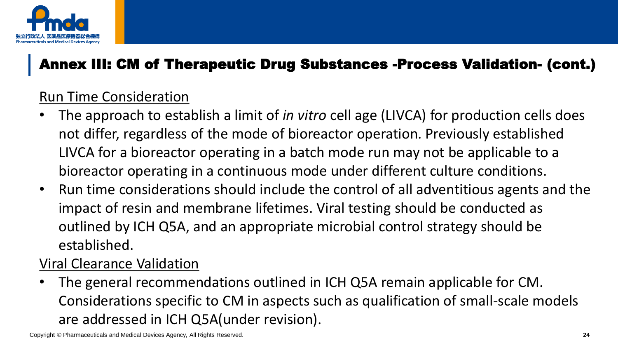

## Annex III: CM of Therapeutic Drug Substances -Process Validation- (cont.)

#### Run Time Consideration

- The approach to establish a limit of *in vitro* cell age (LIVCA) for production cells does not differ, regardless of the mode of bioreactor operation. Previously established LIVCA for a bioreactor operating in a batch mode run may not be applicable to a bioreactor operating in a continuous mode under different culture conditions.
- Run time considerations should include the control of all adventitious agents and the impact of resin and membrane lifetimes. Viral testing should be conducted as outlined by ICH Q5A, and an appropriate microbial control strategy should be established.

#### Viral Clearance Validation

• The general recommendations outlined in ICH Q5A remain applicable for CM. Considerations specific to CM in aspects such as qualification of small-scale models are addressed in ICH Q5A(under revision).

Copyright © Pharmaceuticals and Medical Devices Agency, All Rights Reserved. **24**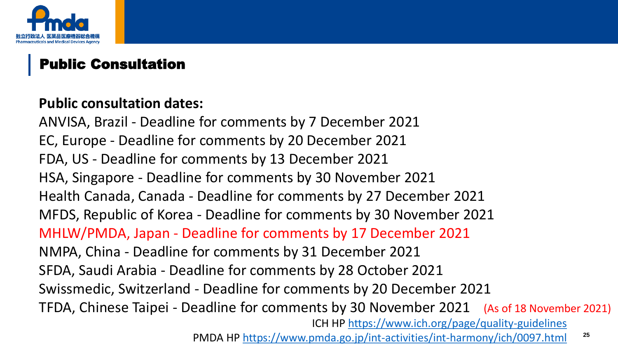

## Public Consultation

#### **Public consultation dates:**

PMDA HP <https://www.pmda.go.jp/int-activities/int-harmony/ich/0097.html> <sup>25</sup> ANVISA, Brazil - Deadline for comments by 7 December 2021 EC, Europe - Deadline for comments by 20 December 2021 FDA, US - Deadline for comments by 13 December 2021 HSA, Singapore - Deadline for comments by 30 November 2021 Health Canada, Canada - Deadline for comments by 27 December 2021 MFDS, Republic of Korea - Deadline for comments by 30 November 2021 MHLW/PMDA, Japan - Deadline for comments by 17 December 2021 NMPA, China - Deadline for comments by 31 December 2021 SFDA, Saudi Arabia - Deadline for comments by 28 October 2021 Swissmedic, Switzerland - Deadline for comments by 20 December 2021 TFDA, Chinese Taipei - Deadline for comments by 30 November 2021 (As of 18 November 2021) ICH HP<https://www.ich.org/page/quality-guidelines>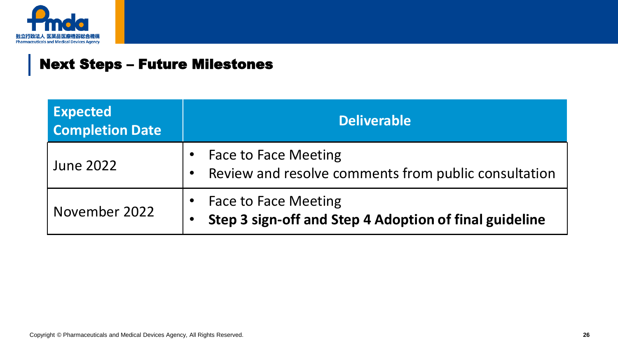

#### Next Steps – Future Milestones

| <b>Expected</b><br><b>Completion Date</b> | <b>Deliverable</b>                                                                    |
|-------------------------------------------|---------------------------------------------------------------------------------------|
| <b>June 2022</b>                          | <b>Face to Face Meeting</b><br>Review and resolve comments from public consultation   |
| November 2022                             | <b>Face to Face Meeting</b><br>Step 3 sign-off and Step 4 Adoption of final guideline |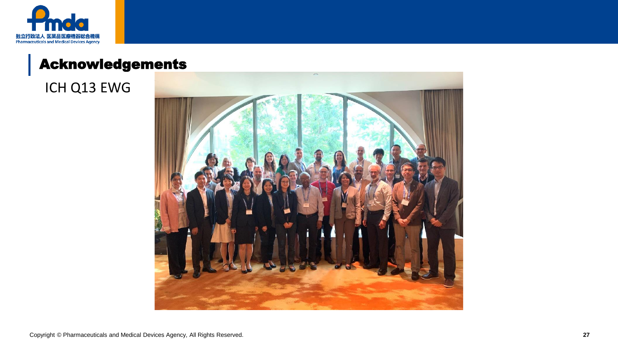

## Acknowledgements

ICH Q13 EWG